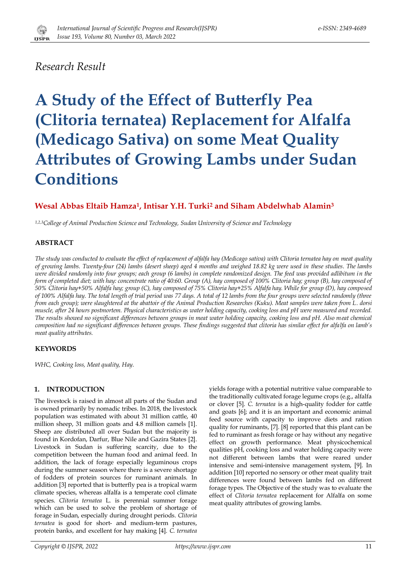

# *Research Result*

# **A Study of the Effect of Butterfly Pea (Clitoria ternatea) Replacement for Alfalfa (Medicago Sativa) on some Meat Quality Attributes of Growing Lambs under Sudan Conditions**

# **Wesal Abbas Eltaib Hamza<sup>1</sup> , Intisar Y.H. Turki<sup>2</sup> and Siham Abdelwhab Alamin<sup>3</sup>**

*1,2,3College of Animal Production Science and Technology, Sudan University of Science and Technology*

# **ABSTRACT**

*The study was conducted to evaluate the effect of replacement of alfalfa hay (Medicago sativa) with Clitoria ternatea hay on meat quality of growing lambs. Twenty-four (24) lambs (desert sheep) aged 4 months and weighed 18.82 kg were used in these studies. The lambs were divided randomly into four groups; each group (6 lambs) in complete randomized design. The feed was provided adlibitum in the form of completed diet; with hay: concentrate ratio of 40:60. Group (A), hay composed of 100% Clitoria hay; group (B), hay composed of 50% Clitoria hay+50% Alfalfa hay; group (C), hay composed of 75% Clitoria hay+25% Alfalfa hay. While for group (D), hay composed of 100% Alfalfa hay. The total length of trial period was 77 days. A total of 12 lambs from the four groups were selected randomly (three from each group); were slaughtered at the abattoir of the Animal Production Researches (Kuku). Meat samples were taken from L. dorsi muscle, after 24 hours postmortem. Physical characteristics as water holding capacity, cooking loss and pH were measured and recorded. The results showed no significant differences between groups in meat water holding capacity, cooking loss and pH. Also meat chemical composition had no significant differences between groups. These findings suggested that clitoria has similar effect for alfalfa on lamb's meat quality attributes.*

# **KEYWORDS**

*WHC, Cooking loss, Meat quality, Hay.*

# **1. INTRODUCTION**

The livestock is raised in almost all parts of the Sudan and is owned primarily by nomadic tribes. In 2018, the livestock population was estimated with about 31 million cattle, 40 million sheep, 31 million goats and 4.8 million camels [1]. Sheep are distributed all over Sudan but the majority is found in Kordofan, Darfur, Blue Nile and Gazira States [2]. Livestock in Sudan is suffering scarcity, due to the competition between the human food and animal feed. In addition, the lack of forage especially leguminous crops during the summer season where there is a severe shortage of fodders of protein sources for ruminant animals. In addition [3] reported that is butterfly pea is a tropical warm climate species, whereas alfalfa is a temperate cool climate species. *Clitoria ternatea* L. is perennial summer forage which can be used to solve the problem of shortage of forage in Sudan, especially during drought periods. *Clitoria ternatea* is good for short- and medium-term pastures, protein banks, and excellent for hay making [4]. *C. ternatea* yields forage with a potential nutritive value comparable to the traditionally cultivated forage legume crops (e.g., alfalfa or clover [5]. *C. ternatea* is a high-quality fodder for cattle and goats [6]; and it is an important and economic animal feed source with capacity to improve diets and ration quality for ruminants, [7]. [8] reported that this plant can be fed to ruminant as fresh forage or hay without any negative effect on growth performance. Meat physicochemical qualities pH, cooking loss and water holding capacity were not different between lambs that were reared under intensive and semi-intensive management system, [9]. In addition [10] reported no sensory or other meat quality trait differences were found between lambs fed on different forage types. The Objective of the study was to evaluate the effect of *Clitoria ternatea* replacement for Alfalfa on some meat quality attributes of growing lambs.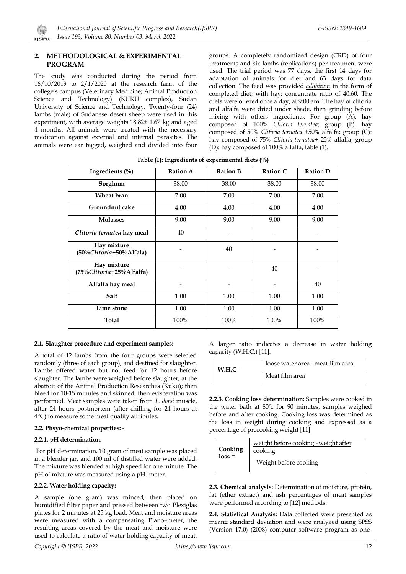## **2. METHODOLOGICAL & EXPERIMENTAL PROGRAM**

 $\mathbb{C}$ 

The study was conducted during the period from 16/10/2019 to 2/1/2020 at the research farm of the college's campus (Veterinary Medicine; Animal Production Science and Technology) (KUKU complex), Sudan University of Science and Technology. Twenty-four (24) lambs (male) of Sudanese desert sheep were used in this experiment, with average weights 18.82± 1.67 kg and aged 4 months. All animals were treated with the necessary medication against external and internal parasites. The animals were ear tagged, weighed and divided into four groups. A completely randomized design (CRD) of four treatments and six lambs (replications) per treatment were used. The trial period was 77 days, the first 14 days for adaptation of animals for diet and 63 days for data collection. The feed was provided *adlibitum* in the form of completed diet; with hay: concentrate ratio of 40:60. The diets were offered once a day, at 9:00 am. The hay of clitoria and alfalfa were dried under shade, then grinding before mixing with others ingredients. For group (A), hay composed of 100% *Clitoria ternatea*; group (B), hay composed of 50% *Clitoria ternatea* +50% alfalfa; group (C): hay composed of 75% *Clitoria ternatea*+ 25% alfalfa; group (D): hay composed of 100% alfalfa, table (1).

| Ingredients (%)                         | <b>Ration A</b> | <b>Ration B</b> | <b>Ration C</b> | <b>Ration D</b> |
|-----------------------------------------|-----------------|-----------------|-----------------|-----------------|
| Sorghum                                 | 38.00           | 38.00           | 38.00           | 38.00           |
| Wheat bran                              | 7.00            | 7.00            | 7.00            | 7.00            |
| Groundnut cake                          | 4.00            | 4.00            | 4.00            | 4.00            |
| <b>Molasses</b>                         | 9.00            | 9.00            | 9.00            | 9.00            |
| Clitoria ternatea hay meal              | 40              |                 | -               |                 |
| Hay mixture<br>(50%Clitoria+50%Alfala)  |                 | 40              |                 |                 |
| Hay mixture<br>(75%Clitoria+25%Alfalfa) |                 |                 | 40              |                 |
| Alfalfa hay meal                        |                 |                 |                 | 40              |
| Salt                                    | 1.00            | 1.00            | 1.00            | 1.00            |
| Lime stone                              | 1.00            | 1.00            | 1.00            | 1.00            |
| Total                                   | 100%            | 100%            | 100%            | 100%            |

| Table (1): Ingredients of experimental diets $(\%)$ |
|-----------------------------------------------------|
|-----------------------------------------------------|

#### **2.1. Slaughter procedure and experiment samples:**

A total of 12 lambs from the four groups were selected randomly (three of each group); and destined for slaughter. Lambs offered water but not feed for 12 hours before slaughter. The lambs were weighed before slaughter, at the abattoir of the Animal Production Researches (Kuku); then bleed for 10-15 minutes and skinned; then evisceration was performed. Meat samples were taken from *L. dorsi* muscle, after 24 hours postmortem (after chilling for 24 hours at 4°C) to measure some meat quality attributes.

#### **2.2. Phsyo-chemical properties: -**

#### **2.2.1. pH determination**:

For pH determination, 10 gram of meat sample was placed in a blender jar, and 100 ml of distilled water were added. The mixture was blended at high speed for one minute. The pH of mixture was measured using a pH- meter.

#### **2.2.2. Water holding capacity:**

A sample (one gram) was minced, then placed on humidified filter paper and pressed between two Plexiglas plates for 2 minutes at 25 kg load. Meat and moisture areas were measured with a compensating Plano–meter, the resulting areas covered by the meat and moisture were used to calculate a ratio of water holding capacity of meat.

A larger ratio indicates a decrease in water holding capacity (W.H.C.) [11].

| $W.H.C =$ | loose water area -meat film area |  |  |
|-----------|----------------------------------|--|--|
|           | Meat film area                   |  |  |

**2.2.3. Cooking loss determination:** Samples were cooked in the water bath at 80˚c for 90 minutes, samples weighed before and after cooking. Cooking loss was determined as the loss in weight during cooking and expressed as a percentage of precooking weight [11]

|--|

**2.3. Chemical analysis:** Determination of moisture, protein, fat (ether extract) and ash percentages of meat samples were performed according to [12] methods.

**2.4. Statistical Analysis:** Data collected were presented as mean± standard deviation and were analyzed using SPSS (Version 17.0) (2008) computer software program as one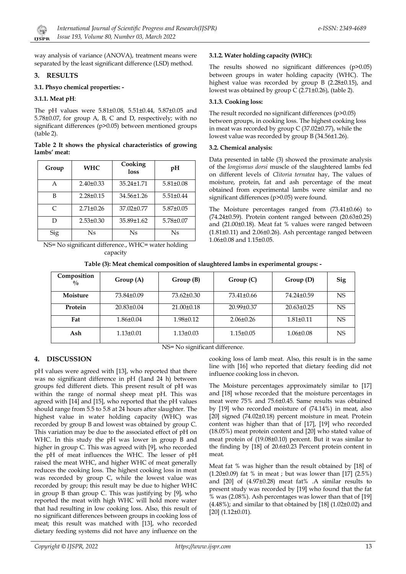way analysis of variance (ANOVA), treatment means were separated by the least significant difference (LSD) method.

# **3. RESULTS**

## **3.1. Phsyo chemical properties: -**

#### **3.1.1. Meat pH**:

The pH values were 5.81±0.08, 5.51±0.44, 5.87±0.05 and 5.78±0.07, for group A, B, C and D, respectively; with no significant differences (p>0.05) between mentioned groups (table 2).

#### **Table 2 It shows the physical characteristics of growing lambs' meat:**

| Group | <b>WHC</b>      | Cooking<br>loss  | pH              |
|-------|-----------------|------------------|-----------------|
| A     | $2.40 \pm 0.33$ | $35.24 \pm 1.71$ | $5.81 \pm 0.08$ |
| B     | $2.28 \pm 0.15$ | 34.56±1.26       | $5.51 \pm 0.44$ |
| C     | $2.71 \pm 0.26$ | $37.02 \pm 0.77$ | $5.87 \pm 0.05$ |
| D     | $2.53 \pm 0.30$ | $35.89\pm1.62$   | $5.78 \pm 0.07$ |
| Sig   | Ns              | Ns               | Ns              |

NS= No significant difference., WHC= water holding capacity

# **3.1.2. Water holding capacity (WHC):**

The results showed no significant differences (p>0.05) between groups in water holding capacity (WHC). The highest value was recorded by group B (2.28±0.15), and lowest was obtained by group C (2.71±0.26), (table 2).

## **3.1.3. Cooking loss:**

The result recorded no significant differences (p>0.05) between groups, in cooking loss. The highest cooking loss in meat was recorded by group C (37.02±0.77), while the lowest value was recorded by group B (34.56±1.26).

# **3.2. Chemical analysis:**

Data presented in table (3) showed the proximate analysis of the *longismus dorsi* muscle of the slaughtered lambs fed on different levels of *Clitoria ternatea* hay, The values of moisture, protein, fat and ash percentage of the meat obtained from experimental lambs were similar and no significant differences (p>0.05) were found.

The Moisture percentages ranged from (73.41±0.66) to (74.24±0.59). Protein content ranged between (20.63±0.25) and (21.00±0.18). Meat fat % values were ranged between (1.81±0.11) and 2.06±0.26). Ash percentage ranged between 1.06±0.08 and 1.15±0.05.

| Table (3): Meat chemical composition of slaughtered lambs in experimental groups: - |  |  |
|-------------------------------------------------------------------------------------|--|--|
|                                                                                     |  |  |

| Composition<br>$\frac{0}{0}$   | Group(A)         | Group(B)         | Group(C)         | Group(D)         | <b>Sig</b> |
|--------------------------------|------------------|------------------|------------------|------------------|------------|
| Moisture                       | 73.84±0.09       | $73.62 \pm 0.30$ | $73.41 \pm 0.66$ | 74.24±0.59       | <b>NS</b>  |
| Protein                        | $20.83 \pm 0.04$ | $21.00 \pm 0.18$ | $20.99 \pm 0.37$ | $20.63 \pm 0.25$ | NS.        |
| Fat                            | 1.86±0.04        | $1.98 \pm 0.12$  | $2.06 \pm 0.26$  | $1.81 \pm 0.11$  | NS         |
| Ash                            | $1.13 \pm 0.01$  | $1.13 \pm 0.03$  | $1.15 \pm 0.05$  | $1.06 \pm 0.08$  | NS.        |
| NS= No significant difference. |                  |                  |                  |                  |            |

# **4. DISCUSSION**

pH values were agreed with [13], who reported that there was no significant difference in pH (1and 24 h) between groups fed different diets. This present result of pH was within the range of normal sheep meat pH. This was agreed with [14] and [15], who reported that the pH values should range from 5.5 to 5.8 at 24 hours after slaughter. The highest value in water holding capacity (WHC) was recorded by group B and lowest was obtained by group C. This variation may be due to the associated effect of pH on WHC. In this study the pH was lower in group B and higher in group C. This was agreed with [9], who recorded the pH of meat influences the WHC. The lesser of pH raised the meat WHC, and higher WHC of meat generally reduces the cooking loss. The highest cooking loss in meat was recorded by group C, while the lowest value was recorded by group; this result may be due to higher WHC in group B than group C. This was justifying by [9], who reported the meat with high WHC will hold more water that had resulting in low cooking loss. Also, this result of no significant differences between groups in cooking loss of meat; this result was matched with [13], who recorded dietary feeding systems did not have any influence on the

cooking loss of lamb meat. Also, this result is in the same line with [16] who reported that dietary feeding did not influence cooking loss in chevon.

The Moisture percentages approximately similar to [17] and [18] whose recorded that the moisture percentages in meat were 75% and 75.6±0.45. Same results was obtained by [19] who recorded moisture of (74.14%) in meat, also [20] signed (74.02±0.18) percent moisture in meat. Protein content was higher than that of [17], [19] who recorded (18.05%) meat protein content and [20] who stated value of meat protein of (19.08±0.10) percent. But it was similar to the finding by [18] of 20.6±0.23 Percent protein content in meat.

Meat fat % was higher than the result obtained by [18] of  $(1.20\pm0.09)$  fat % in meat ; but was lower than [17]  $(2.5\%)$ and [20] of (4.97±0.28) meat fat% .A similar results to present study was recorded by [19] who found that the fat % was (2.08%). Ash percentages was lower than that of [19]  $(4.48\%)$ ; and similar to that obtained by [18]  $(1.02\pm0.02)$  and [20] (1.12±0.01).